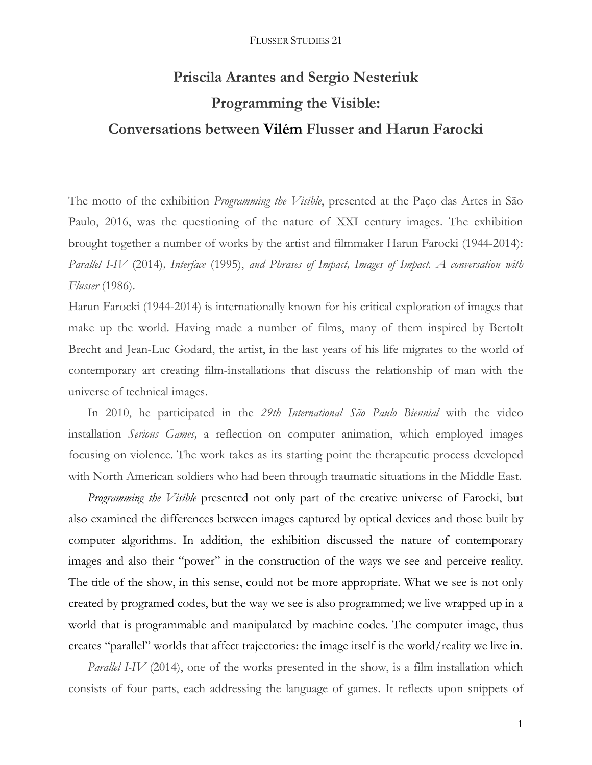# **Priscila Arantes and Sergio Nesteriuk Programming the Visible: Conversations between Vilém Flusser and Harun Farocki**

The motto of the exhibition *Programming the Visible*, presented at the Paço das Artes in São Paulo, 2016, was the questioning of the nature of XXI century images. The exhibition brought together a number of works by the artist and filmmaker Harun Farocki (1944-2014): *Parallel I-IV* (2014)*, Interface* (1995), *and Phrases of Impact, Images of Impact. A conversation with Flusser* (1986).

Harun Farocki (1944-2014) is internationally known for his critical exploration of images that make up the world. Having made a number of films, many of them inspired by Bertolt Brecht and Jean-Luc Godard, the artist, in the last years of his life migrates to the world of contemporary art creating film-installations that discuss the relationship of man with the universe of technical images.

In 2010, he participated in the *29th International São Paulo Biennial* with the video installation *Serious Games,* a reflection on computer animation, which employed images focusing on violence. The work takes as its starting point the therapeutic process developed with North American soldiers who had been through traumatic situations in the Middle East.

*Programming the Visible* presented not only part of the creative universe of Farocki, but also examined the differences between images captured by optical devices and those built by computer algorithms. In addition, the exhibition discussed the nature of contemporary images and also their "power" in the construction of the ways we see and perceive reality. The title of the show, in this sense, could not be more appropriate. What we see is not only created by programed codes, but the way we see is also programmed; we live wrapped up in a world that is programmable and manipulated by machine codes. The computer image, thus creates "parallel" worlds that affect trajectories: the image itself is the world/reality we live in.

*Parallel I-IV* (2014), one of the works presented in the show, is a film installation which consists of four parts, each addressing the language of games. It reflects upon snippets of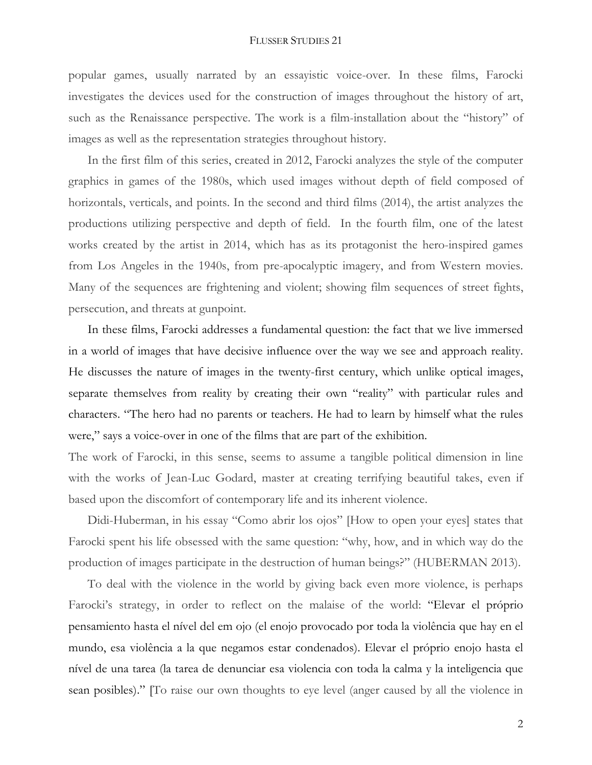popular games, usually narrated by an essayistic voice-over. In these films, Farocki investigates the devices used for the construction of images throughout the history of art, such as the Renaissance perspective. The work is a film-installation about the "history" of images as well as the representation strategies throughout history.

In the first film of this series, created in 2012, Farocki analyzes the style of the computer graphics in games of the 1980s, which used images without depth of field composed of horizontals, verticals, and points. In the second and third films (2014), the artist analyzes the productions utilizing perspective and depth of field. In the fourth film, one of the latest works created by the artist in 2014, which has as its protagonist the hero-inspired games from Los Angeles in the 1940s, from pre-apocalyptic imagery, and from Western movies. Many of the sequences are frightening and violent; showing film sequences of street fights, persecution, and threats at gunpoint.

In these films, Farocki addresses a fundamental question: the fact that we live immersed in a world of images that have decisive influence over the way we see and approach reality. He discusses the nature of images in the twenty-first century, which unlike optical images, separate themselves from reality by creating their own "reality" with particular rules and characters. "The hero had no parents or teachers. He had to learn by himself what the rules were," says a voice-over in one of the films that are part of the exhibition.

The work of Farocki, in this sense, seems to assume a tangible political dimension in line with the works of Jean-Luc Godard, master at creating terrifying beautiful takes, even if based upon the discomfort of contemporary life and its inherent violence.

Didi-Huberman, in his essay "Como abrir los ojos" [How to open your eyes] states that Farocki spent his life obsessed with the same question: "why, how, and in which way do the production of images participate in the destruction of human beings?" (HUBERMAN 2013).

To deal with the violence in the world by giving back even more violence, is perhaps Farocki's strategy, in order to reflect on the malaise of the world: "Elevar el próprio pensamiento hasta el nível del em ojo (el enojo provocado por toda la violência que hay en el mundo, esa violência a la que negamos estar condenados). Elevar el próprio enojo hasta el nível de una tarea (la tarea de denunciar esa violencia con toda la calma y la inteligencia que sean posibles)." [To raise our own thoughts to eye level (anger caused by all the violence in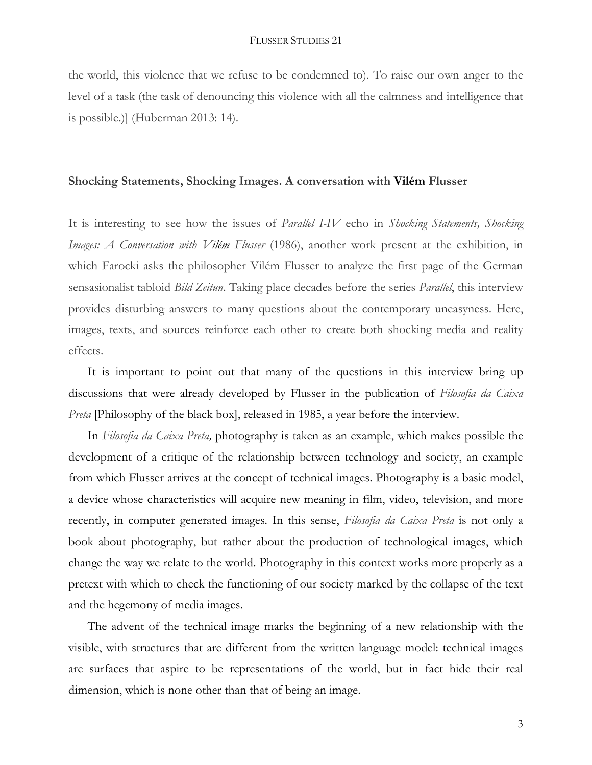the world, this violence that we refuse to be condemned to). To raise our own anger to the level of a task (the task of denouncing this violence with all the calmness and intelligence that is possible.)] (Huberman 2013: 14).

# **Shocking Statements, Shocking Images. A conversation with Vilém Flusser**

It is interesting to see how the issues of *Parallel I-IV* echo in *Shocking Statements, Shocking Images: A Conversation with Vilém Flusser* (1986), another work present at the exhibition, in which Farocki asks the philosopher Vilém Flusser to analyze the first page of the German sensasionalist tabloid *Bild Zeitun*. Taking place decades before the series *Parallel*, this interview provides disturbing answers to many questions about the contemporary uneasyness. Here, images, texts, and sources reinforce each other to create both shocking media and reality effects.

It is important to point out that many of the questions in this interview bring up discussions that were already developed by Flusser in the publication of *Filosofia da Caixa Preta* [Philosophy of the black box], released in 1985, a year before the interview.

In *Filosofia da Caixa Preta,* photography is taken as an example, which makes possible the development of a critique of the relationship between technology and society, an example from which Flusser arrives at the concept of technical images. Photography is a basic model, a device whose characteristics will acquire new meaning in film, video, television, and more recently, in computer generated images. In this sense, *Filosofia da Caixa Preta* is not only a book about photography, but rather about the production of technological images, which change the way we relate to the world. Photography in this context works more properly as a pretext with which to check the functioning of our society marked by the collapse of the text and the hegemony of media images.

The advent of the technical image marks the beginning of a new relationship with the visible, with structures that are different from the written language model: technical images are surfaces that aspire to be representations of the world, but in fact hide their real dimension, which is none other than that of being an image.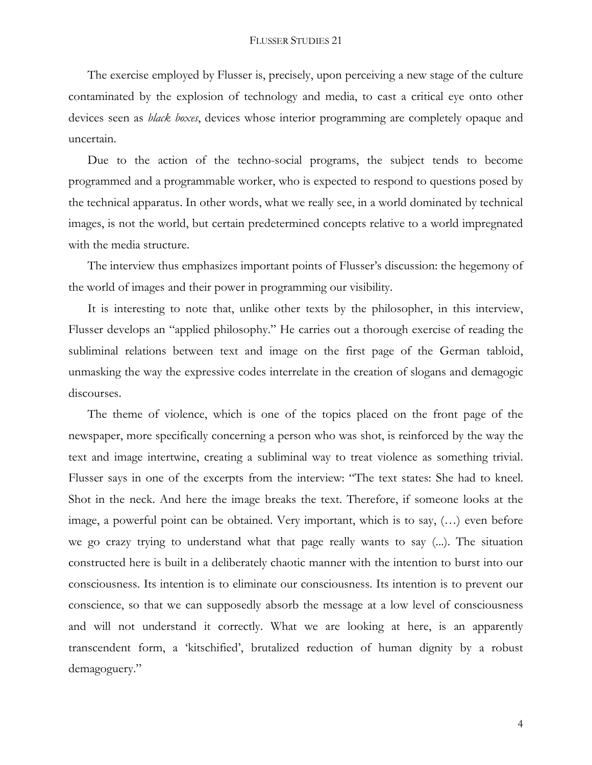The exercise employed by Flusser is, precisely, upon perceiving a new stage of the culture contaminated by the explosion of technology and media, to cast a critical eye onto other devices seen as *black boxes*, devices whose interior programming are completely opaque and uncertain.

Due to the action of the techno-social programs, the subject tends to become programmed and a programmable worker, who is expected to respond to questions posed by the technical apparatus. In other words, what we really see, in a world dominated by technical images, is not the world, but certain predetermined concepts relative to a world impregnated with the media structure.

The interview thus emphasizes important points of Flusser's discussion: the hegemony of the world of images and their power in programming our visibility.

It is interesting to note that, unlike other texts by the philosopher, in this interview, Flusser develops an "applied philosophy." He carries out a thorough exercise of reading the subliminal relations between text and image on the first page of the German tabloid, unmasking the way the expressive codes interrelate in the creation of slogans and demagogic discourses.

The theme of violence, which is one of the topics placed on the front page of the newspaper, more specifically concerning a person who was shot, is reinforced by the way the text and image intertwine, creating a subliminal way to treat violence as something trivial. Flusser says in one of the excerpts from the interview: "The text states: She had to kneel. Shot in the neck. And here the image breaks the text. Therefore, if someone looks at the image, a powerful point can be obtained. Very important, which is to say, (…) even before we go crazy trying to understand what that page really wants to say (...). The situation constructed here is built in a deliberately chaotic manner with the intention to burst into our consciousness. Its intention is to eliminate our consciousness. Its intention is to prevent our conscience, so that we can supposedly absorb the message at a low level of consciousness and will not understand it correctly. What we are looking at here, is an apparently transcendent form, a 'kitschified', brutalized reduction of human dignity by a robust demagoguery."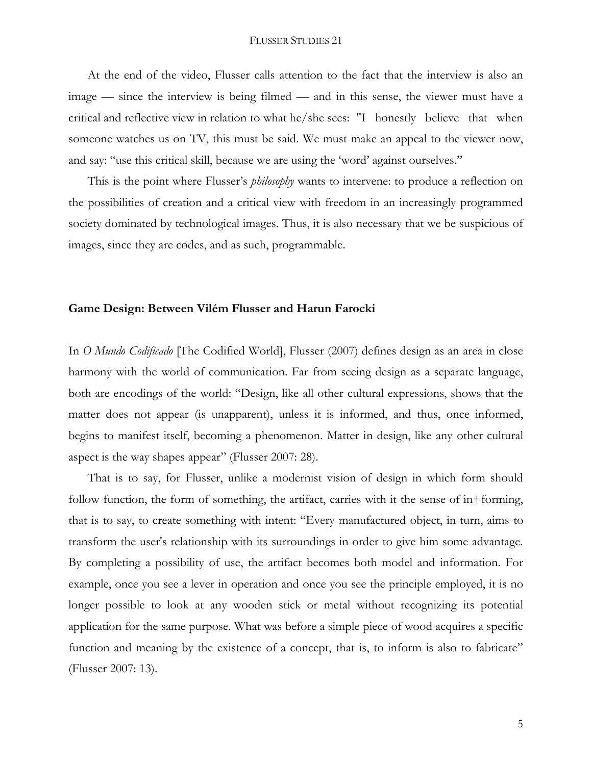At the end of the video, Flusser calls attention to the fact that the interview is also an image — since the interview is being filmed — and in this sense, the viewer must have a critical and reflective view in relation to what he/she sees: "I honestly believe that when someone watches us on TV, this must be said. We must make an appeal to the viewer now, and say: "use this critical skill, because we are using the 'word' against ourselves."

This is the point where Flusser's *philosophy* wants to intervene: to produce a reflection on the possibilities of creation and a critical view with freedom in an increasingly programmed society dominated by technological images. Thus, it is also necessary that we be suspicious of images, since they are codes, and as such, programmable.

## **Game Design: Between Vilém Flusser and Harun Farocki**

In *O Mundo Codificado* [The Codified World], Flusser (2007) defines design as an area in close harmony with the world of communication. Far from seeing design as a separate language, both are encodings of the world: "Design, like all other cultural expressions, shows that the matter does not appear (is unapparent), unless it is informed, and thus, once informed, begins to manifest itself, becoming a phenomenon. Matter in design, like any other cultural aspect is the way shapes appear" (Flusser 2007: 28).

That is to say, for Flusser, unlike a modernist vision of design in which form should follow function, the form of something, the artifact, carries with it the sense of in+forming, that is to say, to create something with intent: "Every manufactured object, in turn, aims to transform the user's relationship with its surroundings in order to give him some advantage. By completing a possibility of use, the artifact becomes both model and information. For example, once you see a lever in operation and once you see the principle employed, it is no longer possible to look at any wooden stick or metal without recognizing its potential application for the same purpose. What was before a simple piece of wood acquires a specific function and meaning by the existence of a concept, that is, to inform is also to fabricate" (Flusser 2007: 13).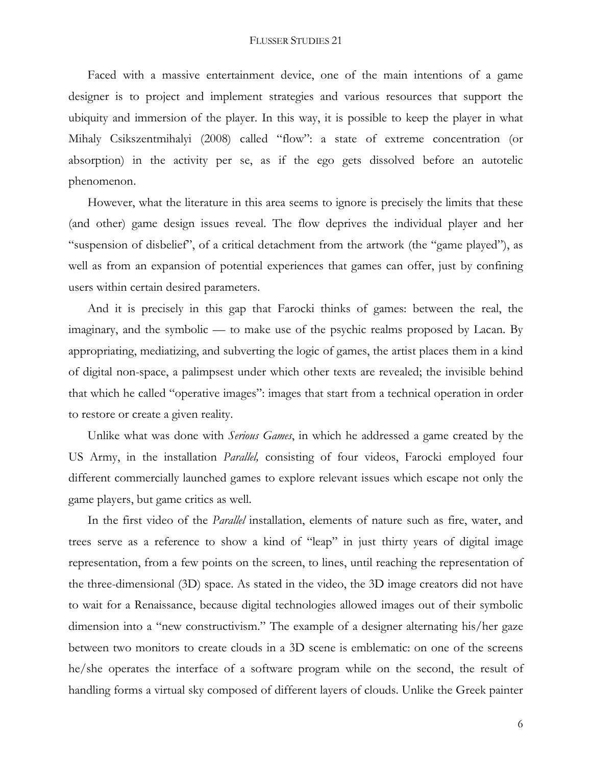Faced with a massive entertainment device, one of the main intentions of a game designer is to project and implement strategies and various resources that support the ubiquity and immersion of the player. In this way, it is possible to keep the player in what Mihaly Csikszentmihalyi (2008) called "flow": a state of extreme concentration (or absorption) in the activity per se, as if the ego gets dissolved before an autotelic phenomenon.

However, what the literature in this area seems to ignore is precisely the limits that these (and other) game design issues reveal. The flow deprives the individual player and her "suspension of disbelief", of a critical detachment from the artwork (the "game played"), as well as from an expansion of potential experiences that games can offer, just by confining users within certain desired parameters.

And it is precisely in this gap that Farocki thinks of games: between the real, the imaginary, and the symbolic — to make use of the psychic realms proposed by Lacan. By appropriating, mediatizing, and subverting the logic of games, the artist places them in a kind of digital non-space, a palimpsest under which other texts are revealed; the invisible behind that which he called "operative images": images that start from a technical operation in order to restore or create a given reality.

Unlike what was done with *Serious Games*, in which he addressed a game created by the US Army, in the installation *Parallel,* consisting of four videos, Farocki employed four different commercially launched games to explore relevant issues which escape not only the game players, but game critics as well.

In the first video of the *Parallel* installation, elements of nature such as fire, water, and trees serve as a reference to show a kind of "leap" in just thirty years of digital image representation, from a few points on the screen, to lines, until reaching the representation of the three-dimensional (3D) space. As stated in the video, the 3D image creators did not have to wait for a Renaissance, because digital technologies allowed images out of their symbolic dimension into a "new constructivism." The example of a designer alternating his/her gaze between two monitors to create clouds in a 3D scene is emblematic: on one of the screens he/she operates the interface of a software program while on the second, the result of handling forms a virtual sky composed of different layers of clouds. Unlike the Greek painter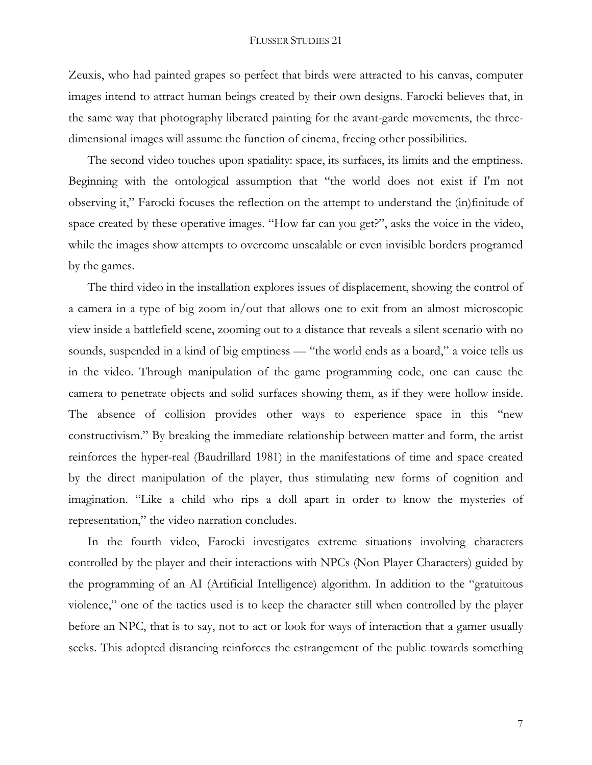Zeuxis, who had painted grapes so perfect that birds were attracted to his canvas, computer images intend to attract human beings created by their own designs. Farocki believes that, in the same way that photography liberated painting for the avant-garde movements, the threedimensional images will assume the function of cinema, freeing other possibilities.

The second video touches upon spatiality: space, its surfaces, its limits and the emptiness. Beginning with the ontological assumption that "the world does not exist if I'm not observing it," Farocki focuses the reflection on the attempt to understand the (in)finitude of space created by these operative images. "How far can you get?", asks the voice in the video, while the images show attempts to overcome unscalable or even invisible borders programed by the games.

The third video in the installation explores issues of displacement, showing the control of a camera in a type of big zoom in/out that allows one to exit from an almost microscopic view inside a battlefield scene, zooming out to a distance that reveals a silent scenario with no sounds, suspended in a kind of big emptiness — "the world ends as a board," a voice tells us in the video. Through manipulation of the game programming code, one can cause the camera to penetrate objects and solid surfaces showing them, as if they were hollow inside. The absence of collision provides other ways to experience space in this "new constructivism." By breaking the immediate relationship between matter and form, the artist reinforces the hyper-real (Baudrillard 1981) in the manifestations of time and space created by the direct manipulation of the player, thus stimulating new forms of cognition and imagination. "Like a child who rips a doll apart in order to know the mysteries of representation," the video narration concludes.

In the fourth video, Farocki investigates extreme situations involving characters controlled by the player and their interactions with NPCs (Non Player Characters) guided by the programming of an AI (Artificial Intelligence) algorithm. In addition to the "gratuitous violence," one of the tactics used is to keep the character still when controlled by the player before an NPC, that is to say, not to act or look for ways of interaction that a gamer usually seeks. This adopted distancing reinforces the estrangement of the public towards something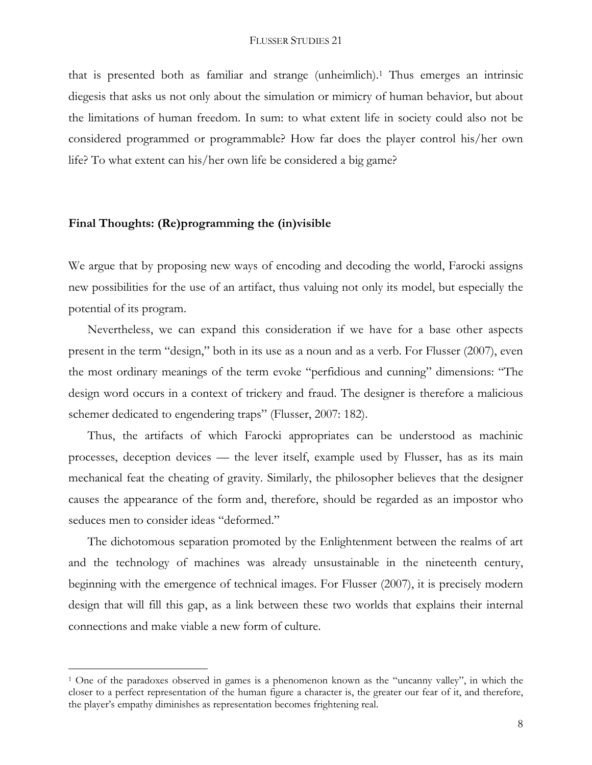that is presented both as familiar and strange (unheimlich). <sup>1</sup> Thus emerges an intrinsic diegesis that asks us not only about the simulation or mimicry of human behavior, but about the limitations of human freedom. In sum: to what extent life in society could also not be considered programmed or programmable? How far does the player control his/her own life? To what extent can his/her own life be considered a big game?

# **Final Thoughts: (Re)programming the (in)visible**

 $\overline{a}$ 

We argue that by proposing new ways of encoding and decoding the world, Farocki assigns new possibilities for the use of an artifact, thus valuing not only its model, but especially the potential of its program.

Nevertheless, we can expand this consideration if we have for a base other aspects present in the term "design," both in its use as a noun and as a verb. For Flusser (2007), even the most ordinary meanings of the term evoke "perfidious and cunning" dimensions: "The design word occurs in a context of trickery and fraud. The designer is therefore a malicious schemer dedicated to engendering traps" (Flusser, 2007: 182).

Thus, the artifacts of which Farocki appropriates can be understood as machinic processes, deception devices — the lever itself, example used by Flusser, has as its main mechanical feat the cheating of gravity. Similarly, the philosopher believes that the designer causes the appearance of the form and, therefore, should be regarded as an impostor who seduces men to consider ideas "deformed."

The dichotomous separation promoted by the Enlightenment between the realms of art and the technology of machines was already unsustainable in the nineteenth century, beginning with the emergence of technical images. For Flusser (2007), it is precisely modern design that will fill this gap, as a link between these two worlds that explains their internal connections and make viable a new form of culture.

<sup>&</sup>lt;sup>1</sup> One of the paradoxes observed in games is a phenomenon known as the "uncanny valley", in which the closer to a perfect representation of the human figure a character is, the greater our fear of it, and therefore, the player's empathy diminishes as representation becomes frightening real.